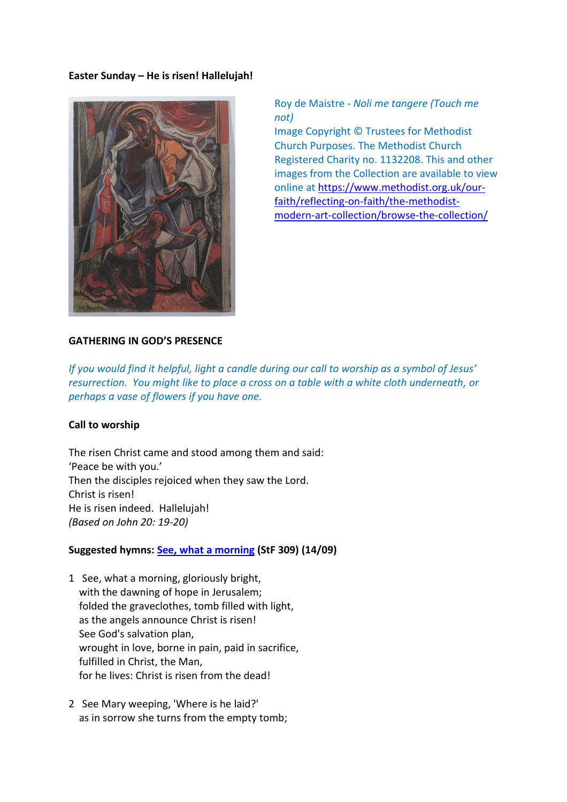## **Easter Sunday – He is risen! Hallelujah!**



Roy de Maistre - *Noli me tangere (Touch me not)*

Image Copyright © Trustees for Methodist Church Purposes. The Methodist Church Registered Charity no. 1132208. This and other images from the Collection are available to view online at [https://www.methodist.org.uk/our](https://www.methodist.org.uk/our-faith/reflecting-on-faith/the-methodist-modern-art-collection/browse-the-collection/)[faith/reflecting-on-faith/the-methodist](https://www.methodist.org.uk/our-faith/reflecting-on-faith/the-methodist-modern-art-collection/browse-the-collection/)[modern-art-collection/browse-the-collection/](https://www.methodist.org.uk/our-faith/reflecting-on-faith/the-methodist-modern-art-collection/browse-the-collection/)

#### **GATHERING IN GOD'S PRESENCE**

*If you would find it helpful, light a candle during our call to worship as a symbol of Jesus' resurrection. You might like to place a cross on a table with a white cloth underneath, or perhaps a vase of flowers if you have one.* 

## **Call to worship**

The risen Christ came and stood among them and said: 'Peace be with you.' Then the disciples rejoiced when they saw the Lord. Christ is risen! He is risen indeed. Hallelujah! *(Based on John 20: 19-20)*

## **Suggested hymns: [See, what a morning](https://www.methodist.org.uk/our-faith/worship/singing-the-faith-plus/hymns/see-what-a-morning-gloriously-bright-stf-309/) (StF 309) (14/09)**

- 1 See, what a morning, gloriously bright, with the dawning of hope in Jerusalem; folded the graveclothes, tomb filled with light, as the angels announce Christ is risen! See God's salvation plan, wrought in love, borne in pain, paid in sacrifice, fulfilled in Christ, the Man, for he lives: Christ is risen from the dead!
- 2 See Mary weeping, 'Where is he laid?' as in sorrow she turns from the empty tomb;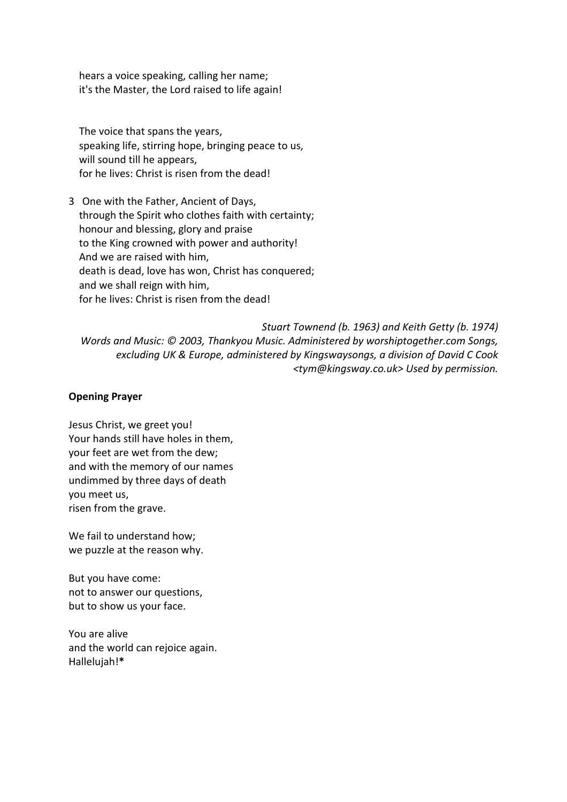hears a voice speaking, calling her name; it's the Master, the Lord raised to life again!

 The voice that spans the years, speaking life, stirring hope, bringing peace to us, will sound till he appears, for he lives: Christ is risen from the dead!

3 One with the Father, Ancient of Days, through the Spirit who clothes faith with certainty; honour and blessing, glory and praise to the King crowned with power and authority! And we are raised with him, death is dead, love has won, Christ has conquered; and we shall reign with him, for he lives: Christ is risen from the dead!

*Stuart Townend (b. 1963) and Keith Getty (b. 1974) Words and Music: © 2003, Thankyou Music. Administered by worshiptogether.com Songs, excluding UK & Europe, administered by Kingswaysongs, a division of David C Cook <tym@kingsway.co.uk> Used by permission.*

#### **Opening Prayer**

Jesus Christ, we greet you! Your hands still have holes in them, your feet are wet from the dew; and with the memory of our names undimmed by three days of death you meet us, risen from the grave.

We fail to understand how; we puzzle at the reason why.

But you have come: not to answer our questions, but to show us your face.

You are alive and the world can rejoice again. Hallelujah!**\***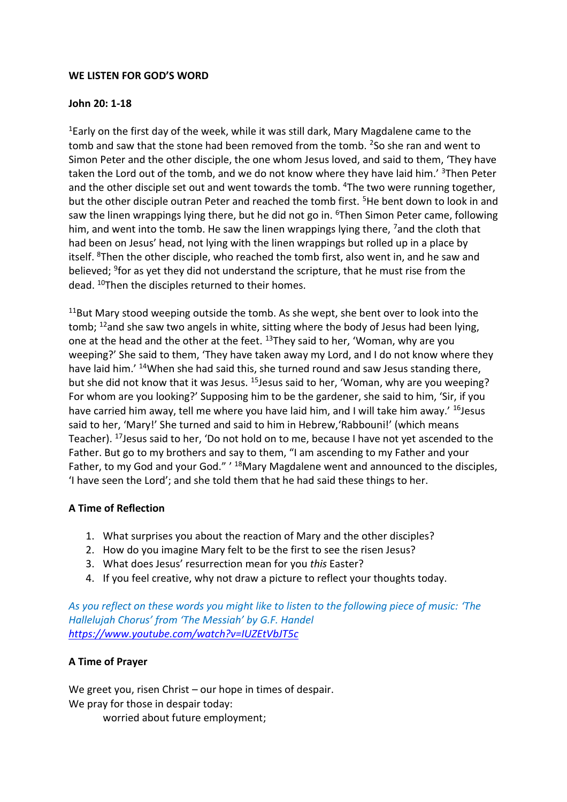# **WE LISTEN FOR GOD'S WORD**

# **John 20: 1-18**

<sup>1</sup>Early on the first day of the week, while it was still dark, Mary Magdalene came to the tomb and saw that the stone had been removed from the tomb. <sup>2</sup>So she ran and went to Simon Peter and the other disciple, the one whom Jesus loved, and said to them, 'They have taken the Lord out of the tomb, and we do not know where they have laid him.' <sup>3</sup>Then Peter and the other disciple set out and went towards the tomb. <sup>4</sup>The two were running together, but the other disciple outran Peter and reached the tomb first. <sup>5</sup>He bent down to look in and saw the linen wrappings lying there, but he did not go in. <sup>6</sup>Then Simon Peter came, following him, and went into the tomb. He saw the linen wrappings lying there,  $\frac{7}{1}$  and the cloth that had been on Jesus' head, not lying with the linen wrappings but rolled up in a place by itself. <sup>8</sup>Then the other disciple, who reached the tomb first, also went in, and he saw and believed; <sup>9</sup>for as yet they did not understand the scripture, that he must rise from the dead. <sup>10</sup>Then the disciples returned to their homes.

 $11$ But Mary stood weeping outside the tomb. As she wept, she bent over to look into the tomb;  $^{12}$  and she saw two angels in white, sitting where the body of Jesus had been lying, one at the head and the other at the feet. <sup>13</sup>They said to her, 'Woman, why are you weeping?' She said to them, 'They have taken away my Lord, and I do not know where they have laid him.' <sup>14</sup>When she had said this, she turned round and saw Jesus standing there, but she did not know that it was Jesus. <sup>15</sup>Jesus said to her, 'Woman, why are you weeping? For whom are you looking?' Supposing him to be the gardener, she said to him, 'Sir, if you have carried him away, tell me where you have laid him, and I will take him away.' <sup>16</sup>Jesus said to her, 'Mary!' She turned and said to him in Hebrew,'Rabbouni!' (which means Teacher). <sup>17</sup> Jesus said to her, 'Do not hold on to me, because I have not yet ascended to the Father. But go to my brothers and say to them, "I am ascending to my Father and your Father, to my God and your God." ' <sup>18</sup>Mary Magdalene went and announced to the disciples, 'I have seen the Lord'; and she told them that he had said these things to her.

# **A Time of Reflection**

- 1. What surprises you about the reaction of Mary and the other disciples?
- 2. How do you imagine Mary felt to be the first to see the risen Jesus?
- 3. What does Jesus' resurrection mean for you *this* Easter?
- 4. If you feel creative, why not draw a picture to reflect your thoughts today.

*As you reflect on these words you might like to listen to the following piece of music: 'The Hallelujah Chorus' from 'The Messiah' by G.F. Handel <https://www.youtube.com/watch?v=IUZEtVbJT5c>*

# **A Time of Prayer**

We greet you, risen Christ – our hope in times of despair. We pray for those in despair today:

worried about future employment;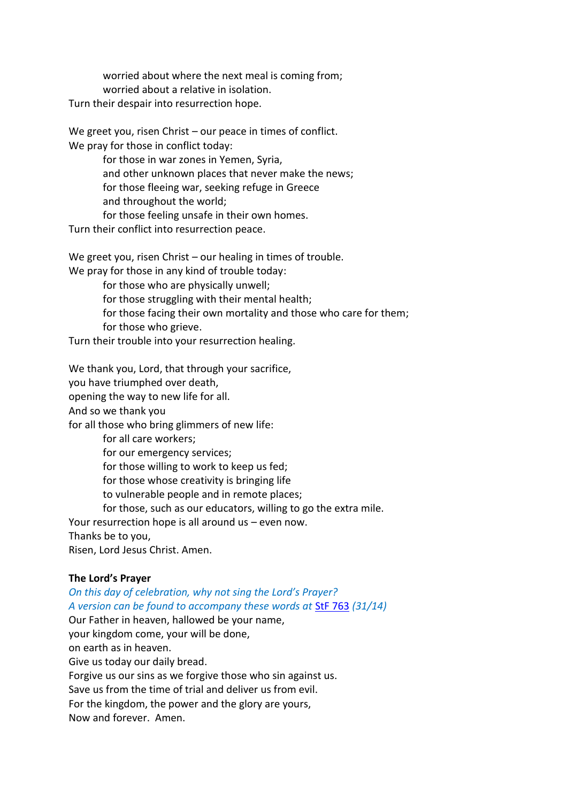worried about where the next meal is coming from; worried about a relative in isolation. Turn their despair into resurrection hope.

We greet you, risen Christ – our peace in times of conflict. We pray for those in conflict today:

> for those in war zones in Yemen, Syria, and other unknown places that never make the news; for those fleeing war, seeking refuge in Greece and throughout the world;

for those feeling unsafe in their own homes.

Turn their conflict into resurrection peace.

We greet you, risen Christ – our healing in times of trouble.

We pray for those in any kind of trouble today:

for those who are physically unwell;

for those struggling with their mental health;

for those facing their own mortality and those who care for them;

for those who grieve.

Turn their trouble into your resurrection healing.

We thank you, Lord, that through your sacrifice,

you have triumphed over death,

opening the way to new life for all.

And so we thank you

for all those who bring glimmers of new life:

for all care workers;

for our emergency services;

for those willing to work to keep us fed;

for those whose creativity is bringing life

to vulnerable people and in remote places;

for those, such as our educators, willing to go the extra mile.

Your resurrection hope is all around us – even now.

Thanks be to you,

Risen, Lord Jesus Christ. Amen.

# **The Lord's Prayer**

*On this day of celebration, why not sing the Lord's Prayer? A version can be found to accompany these words at* [StF 763](https://www.methodist.org.uk/our-faith/worship/singing-the-faith-plus/hymns/our-father-in-heaven-stf-763/) *(31/14)* Our Father in heaven, hallowed be your name, your kingdom come, your will be done, on earth as in heaven.

Give us today our daily bread.

Forgive us our sins as we forgive those who sin against us.

Save us from the time of trial and deliver us from evil.

For the kingdom, the power and the glory are yours,

Now and forever. Amen.